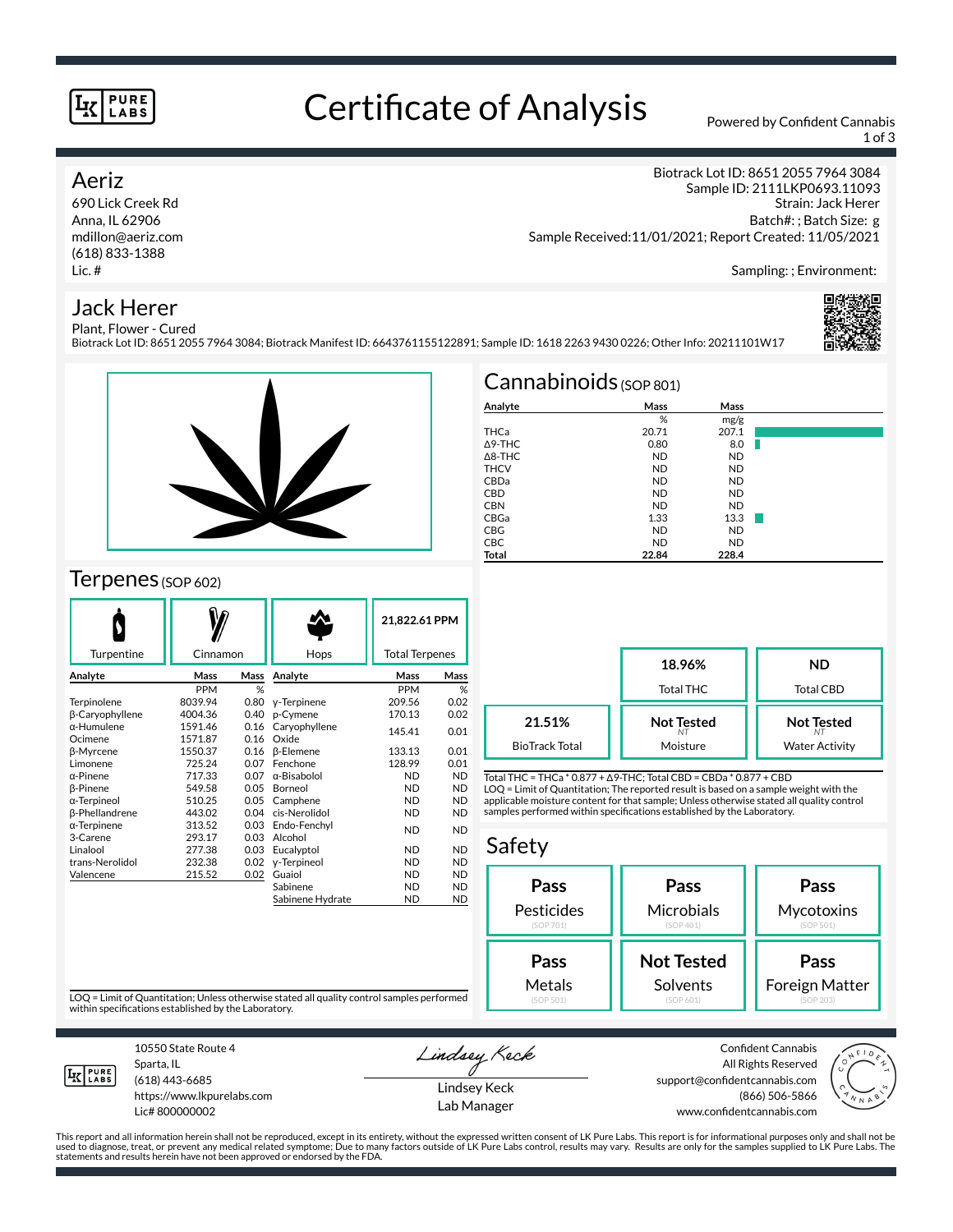#### **PURE** LABS

### Certificate of Analysis Powered by Confident Cannabis

1 of 3

#### Aeriz

690 Lick Creek Rd Anna, IL 62906 mdillon@aeriz.com (618) 833-1388 Lic. #

Biotrack Lot ID: 8651 2055 7964 3084 Sample ID: 2111LKP0693.11093 Strain: Jack Herer Batch#: ; Batch Size: g Sample Received:11/01/2021; Report Created: 11/05/2021

Sampling: ; Environment:

### Jack Herer



Plant, Flower - Cured Biotrack Lot ID: 8651 2055 7964 3084; Biotrack Manifest ID: 6643761155122891; Sample ID: 1618 2263 9430 0226; Other Info: 20211101W17



#### $T$ erpenes (SOP 602)

|            |      |                     | 21,822.61 PPM                                   |                                              |
|------------|------|---------------------|-------------------------------------------------|----------------------------------------------|
|            |      |                     |                                                 |                                              |
| Mass       |      | Analyte             | Mass                                            | Mass                                         |
| <b>PPM</b> | %    |                     | <b>PPM</b>                                      | %                                            |
| 8039.94    | 0.80 | y-Terpinene         | 209.56                                          | 0.02                                         |
| 4004.36    | 0.40 | p-Cymene            | 170.13                                          | 0.02                                         |
| 1591.46    | 0.16 | Caryophyllene       |                                                 | 0.01                                         |
| 1571.87    | 0.16 | Oxide               |                                                 |                                              |
| 1550.37    |      |                     | 133.13                                          | 0.01                                         |
| 725.24     | 0.07 | Fenchone            | 128.99                                          | 0.01                                         |
| 717.33     | 0.07 | $\alpha$ -Bisabolol | <b>ND</b>                                       | <b>ND</b>                                    |
| 549.58     | 0.05 | Borneol             | <b>ND</b>                                       | <b>ND</b>                                    |
| 510.25     | 0.05 | Camphene            | <b>ND</b>                                       | <b>ND</b>                                    |
| 443.02     |      | cis-Nerolidol       | <b>ND</b>                                       | <b>ND</b>                                    |
| 313.52     | 0.03 | Endo-Fenchyl        |                                                 | <b>ND</b>                                    |
| 293.17     | 0.03 | Alcohol             |                                                 |                                              |
| 277.38     | 0.03 | Eucalyptol          | <b>ND</b>                                       | <b>ND</b>                                    |
| 232.38     | 0.02 | y-Terpineol         | <b>ND</b>                                       | <b>ND</b>                                    |
| 215.52     | 0.02 | Guaiol              | <b>ND</b>                                       | <b>ND</b>                                    |
|            |      | Sabinene            | <b>ND</b>                                       | <b>ND</b>                                    |
|            |      | Sabinene Hydrate    | <b>ND</b>                                       | <b>ND</b>                                    |
|            |      | Cinnamon            | Hops<br>Mass<br>$0.16$ $\beta$ -Elemene<br>0.04 | <b>Total Terpenes</b><br>145.41<br><b>ND</b> |

| $Cannabinoids$ (SOP 801) |           |           |  |  |  |  |
|--------------------------|-----------|-----------|--|--|--|--|
| Analyte                  | Mass      | Mass      |  |  |  |  |
|                          | %         | mg/g      |  |  |  |  |
| THCa                     | 20.71     | 207.1     |  |  |  |  |
| A9-THC                   | 0.80      | 8.0       |  |  |  |  |
| $\triangle$ 8-THC        | <b>ND</b> | <b>ND</b> |  |  |  |  |
| <b>THCV</b>              | <b>ND</b> | <b>ND</b> |  |  |  |  |
| CBDa                     | <b>ND</b> | <b>ND</b> |  |  |  |  |
| <b>CBD</b>               | <b>ND</b> | <b>ND</b> |  |  |  |  |
| <b>CBN</b>               | <b>ND</b> | <b>ND</b> |  |  |  |  |
| CBGa                     | 1.33      | 13.3      |  |  |  |  |
| CBG                      | <b>ND</b> | <b>ND</b> |  |  |  |  |
| <b>CBC</b>               | <b>ND</b> | <b>ND</b> |  |  |  |  |
| Total                    | 22.84     | 228.4     |  |  |  |  |

|                       | 18.96%<br>Total THC | ND<br>Total CBD       |
|-----------------------|---------------------|-----------------------|
| 21.51%                | <b>Not Tested</b>   | <b>Not Tested</b>     |
| <b>BioTrack Total</b> | Moisture            | <b>Water Activity</b> |

Total THC = THCa \* 0.877 + ∆9-THC; Total CBD = CBDa \* 0.877 + CBD LOQ = Limit of Quantitation; The reported result is based on a sample weight with the applicable moisture content for that sample; Unless otherwise stated all quality control samples performed within specifications established by the Laboratory.

#### Safety **Pass** Pesticides (SOP 701) **Pass Microbials** (SOP 401) **Pass Mycotoxins** (SOP 501) **Not Tested** Solvents **Pass** Foreign Matter **Pass** Metals

LOQ = Limit of Quantitation; Unless otherwise stated all quality control samples performed within specifications established by the Laboratory.



10550 State Route 4 Sparta, IL (618) 443-6685

https://www.lkpurelabs.com Lic# 800000002

Lindsey Keck

Lindsey Keck Lab Manager

Confident Cannabis All Rights Reserved support@confidentcannabis.com (866) 506-5866 www.confidentcannabis.com



This report and all information herein shall not be reproduced, except in its entirety, without the expressed written consent of LK Pure Labs. This report is for informational purposes only and shall not be<br>used to diagnos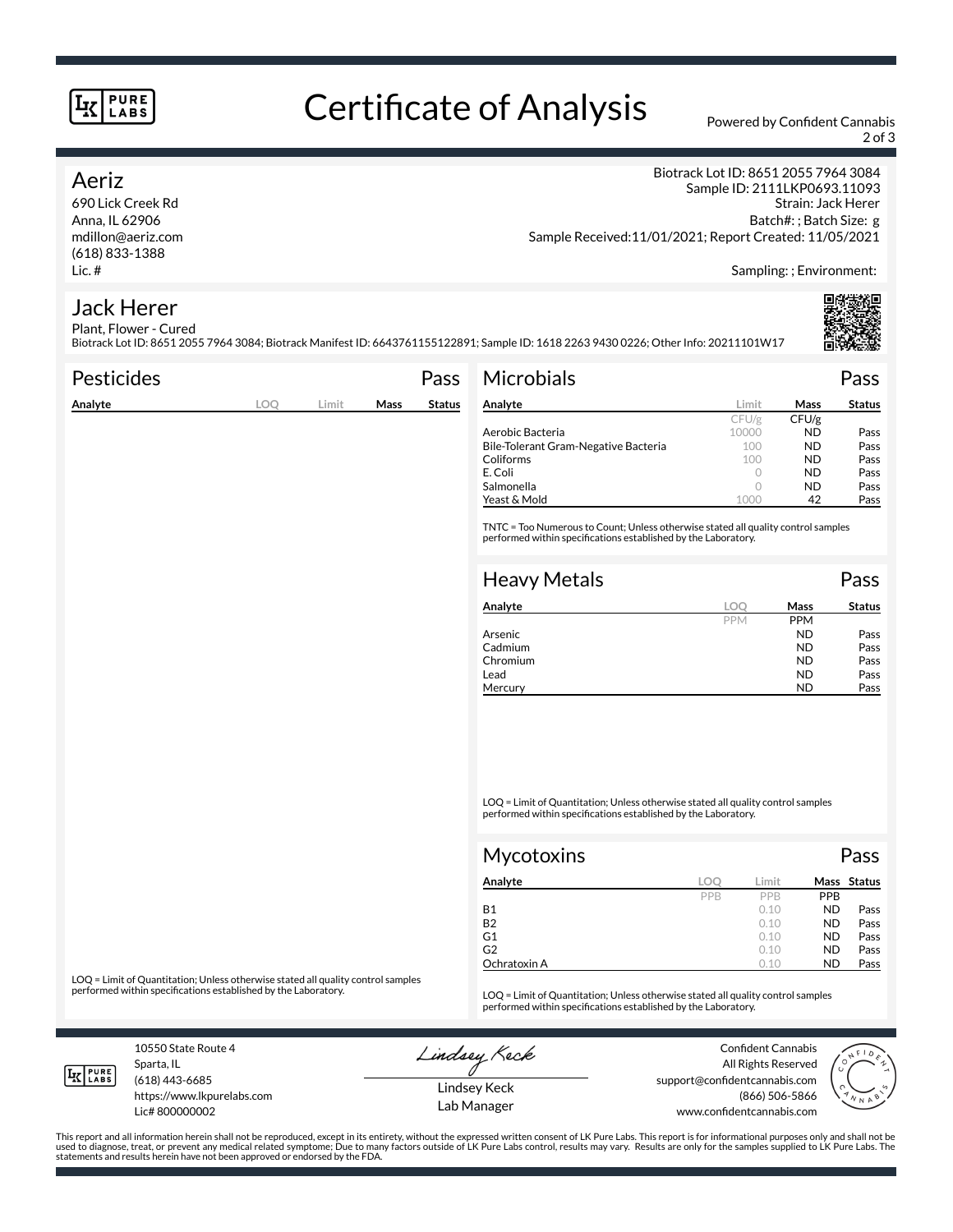#### **PURE** LABS

# Certificate of Analysis Powered by Confident Cannabis

2 of 3

#### Aeriz

690 Lick Creek Rd Anna, IL 62906 mdillon@aeriz.com (618) 833-1388 Lic. #

Biotrack Lot ID: 8651 2055 7964 3084 Sample ID: 2111LKP0693.11093 Strain: Jack Herer Batch#: ; Batch Size: g Sample Received:11/01/2021; Report Created: 11/05/2021

Sampling: ; Environment:

#### Jack Herer Plant, Flower - Cured

Biotrack Lot ID: 8651 2055 7964 3084; Biotrack Manifest ID: 6643761155122891; Sample ID: 1618 2263 9430 0226; Other Info: 20211101W17

| <b>Pesticides</b> |     |       |      | Pass          | <b>Microbials</b>                                                                                                                                   |       |             | Pass          |
|-------------------|-----|-------|------|---------------|-----------------------------------------------------------------------------------------------------------------------------------------------------|-------|-------------|---------------|
| Analyte           | LOO | Limit | Mass | <b>Status</b> | Analyte                                                                                                                                             | Limit | <b>Mass</b> | <b>Status</b> |
|                   |     |       |      |               |                                                                                                                                                     | CFU/g | CFU/g       |               |
|                   |     |       |      |               | Aerobic Bacteria                                                                                                                                    | 10000 | <b>ND</b>   | Pass          |
|                   |     |       |      |               | Bile-Tolerant Gram-Negative Bacteria                                                                                                                | 100   | <b>ND</b>   | Pass          |
|                   |     |       |      |               | Coliforms                                                                                                                                           | 100   | <b>ND</b>   | Pass          |
|                   |     |       |      |               | E. Coli                                                                                                                                             |       | <b>ND</b>   | Pass          |
|                   |     |       |      |               | Salmonella                                                                                                                                          |       | <b>ND</b>   | Pass          |
|                   |     |       |      |               | Yeast & Mold                                                                                                                                        | 1000  | 42          | Pass          |
|                   |     |       |      |               | TNTC = Too Numerous to Count; Unless otherwise stated all quality control samples<br>performed within specifications established by the Laboratory. |       |             |               |
|                   |     |       |      |               | <b>Heavy Metals</b><br>$\sim$ $\sim$ $\sim$                                                                                                         |       |             | Pass          |

| Analyte  | loc        | Mass       | <b>Status</b> |
|----------|------------|------------|---------------|
|          | <b>PPM</b> | <b>PPM</b> |               |
| Arsenic  |            | <b>ND</b>  | Pass          |
| Cadmium  |            | <b>ND</b>  | Pass          |
| Chromium |            | <b>ND</b>  | Pass          |
| Lead     |            | <b>ND</b>  | Pass          |
| Mercury  |            | <b>ND</b>  | Pass          |

LOQ = Limit of Quantitation; Unless otherwise stated all quality control samples performed within specifications established by the Laboratory.

| <b>Mycotoxins</b> |     |       |            | Pass        |
|-------------------|-----|-------|------------|-------------|
| Analyte           | LOC | Limit |            | Mass Status |
|                   | PPB | PPB   | <b>PPB</b> |             |
| <b>B1</b>         |     | 0.10  | <b>ND</b>  | Pass        |
| <b>B2</b>         |     | 0.10  | <b>ND</b>  | Pass        |
| G1                |     | 0.10  | <b>ND</b>  | Pass        |
| G <sub>2</sub>    |     | 0.10  | <b>ND</b>  | Pass        |
| Ochratoxin A      |     | 0.10  | <b>ND</b>  | Pass        |

LOQ = Limit of Quantitation; Unless otherwise stated all quality control samples<br>performed within specifications established by the Laboratory.

LOQ = Limit of Quantitation; Unless otherwise stated all quality control samples performed within specifications established by the Laboratory.

10550 State Route 4 Sparta, IL

**IK PURE** 

(618) 443-6685

Lic# 800000002

https://www.lkpurelabs.com

Lindsey Keck

Confident Cannabis All Rights Reserved support@confidentcannabis.com (866) 506-5866 www.confidentcannabis.com



Lindsey Keck Lab Manager

This report and all information herein shall not be reproduced, except in its entirety, without the expressed written consent of LK Pure Labs. This report is for informational purposes only and shall not be<br>used to diagnos statements and results herein have not been approved or endorsed by the FDA.